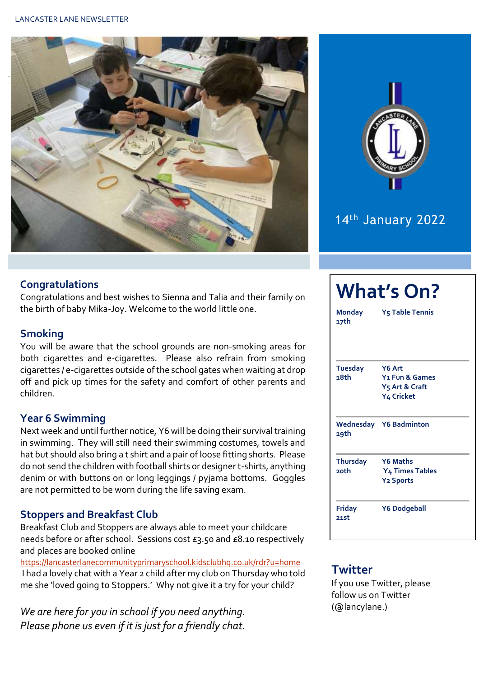



# 14th January 2022

## **Congratulations**

Congratulations and best wishes to Sienna and Talia and their family on the birth of baby Mika-Joy. Welcome to the world little one.

# **Smoking**

You will be aware that the school grounds are non-smoking areas for both cigarettes and e-cigarettes. Please also refrain from smoking cigarettes / e-cigarettes outside of the school gates when waiting at drop off and pick up times for the safety and comfort of other parents and children.

## **Year 6 Swimming**

Next week and until further notice, Y6 will be doing their survival training in swimming. They will still need their swimming costumes, towels and hat but should also bring a t shirt and a pair of loose fitting shorts. Please do not send the children with football shirts or designer t-shirts, anything denim or with buttons on or long leggings / pyjama bottoms. Goggles are not permitted to be worn during the life saving exam.

## **Stoppers and Breakfast Club**

Breakfast Club and Stoppers are always able to meet your childcare needs before or after school. Sessions cost £3.50 and £8.10 respectively and places are booked online

<https://lancasterlanecommunityprimaryschool.kidsclubhq.co.uk/rdr?u=home> I had a lovely chat with a Year 2 child after my club on Thursday who told me she 'loved going to Stoppers.' Why not give it a try for your child?

*We are here for you in school if you need anything. Please phone us even if it is just for a friendly chat.* 

| <b>What's On?</b>          |                                      |  |  |  |  |  |  |
|----------------------------|--------------------------------------|--|--|--|--|--|--|
| Monday<br>17th             | <b>Y<sub>5</sub> Table Tennis</b>    |  |  |  |  |  |  |
| <b>Tuesday</b><br>18th     | Y6 Art<br>Y <sub>1</sub> Fun & Games |  |  |  |  |  |  |
|                            | Y5 Art & Craft<br>Y4 Cricket         |  |  |  |  |  |  |
| 19th                       | <b>Wednesday Y6 Badminton</b>        |  |  |  |  |  |  |
| <b>Thursday</b><br>$2$ oth | Y6 Maths<br><b>Y4 Times Tables</b>   |  |  |  |  |  |  |
|                            | <b>Y2 Sports</b>                     |  |  |  |  |  |  |
| Friday<br>21st             | <b>Y6 Dodgeball</b>                  |  |  |  |  |  |  |

## **Twitter**

If you use Twitter, please follow us on Twitter (@lancylane.)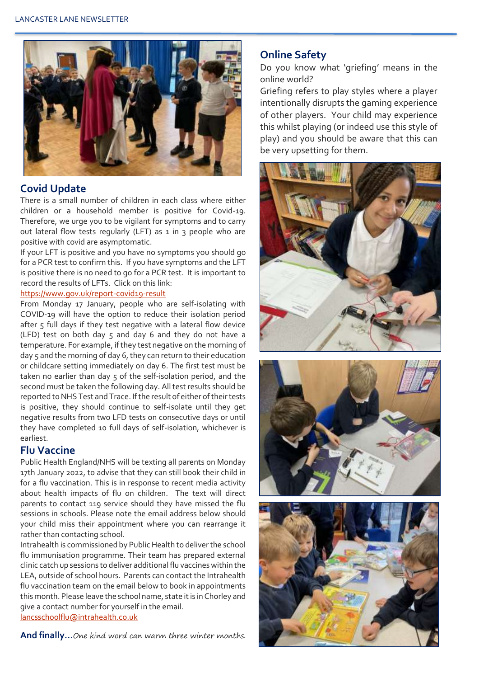

## **Covid Update**

There is a small number of children in each class where either children or a household member is positive for Covid-19. Therefore, we urge you to be vigilant for symptoms and to carry out lateral flow tests regularly (LFT) as 1 in 3 people who are positive with covid are asymptomatic.

If your LFT is positive and you have no symptoms you should go for a PCR test to confirm this. If you have symptoms and the LFT is positive there is no need to go for a PCR test. It is important to record the results of LFTs. Click on this link:

#### <https://www.gov.uk/report-covid19-result>

From Monday 17 January, people who are self-isolating with COVID-19 will have the option to reduce their isolation period after 5 full days if they test negative with a lateral flow device (LFD) test on both day 5 and day 6 and they do not have a temperature. For example, if they test negative on the morning of day 5 and the morning of day 6, they can return to their education or childcare setting immediately on day 6. The first test must be taken no earlier than day 5 of the self-isolation period, and the second must be taken the following day. All test results should be reported to NHS Test and Trace. If the result of either of their tests is positive, they should continue to self-isolate until they get negative results from two LFD tests on consecutive days or until they have completed 10 full days of self-isolation, whichever is earliest.

#### **Flu Vaccine**

Public Health England/NHS will be texting all parents on Monday 17th January 2022, to advise that they can still book their child in for a flu vaccination. This is in response to recent media activity about health impacts of flu on children. The text will direct parents to contact 119 service should they have missed the flu sessions in schools. Please note the email address below should your child miss their appointment where you can rearrange it rather than contacting school.

Intrahealth is commissioned by Public Health to deliver the school flu immunisation programme. Their team has prepared external clinic catch up sessions to deliver additional flu vaccines within the LEA, outside of school hours. Parents can contact the Intrahealth flu vaccination team on the email below to book in appointments this month. Please leave the school name, state it is in Chorley and give a contact number for yourself in the email. [lancsschoolflu@intrahealth.co.uk](mailto:lancsschoolflu@intrahealth.co.uk)

**And finally…**One kind word can warm three winter months.

### **Online Safety**

Do you know what 'griefing' means in the online world?

Griefing refers to play styles where a player intentionally disrupts the gaming experience of other players. Your child may experience this whilst playing (or indeed use this style of play) and you should be aware that this can be very upsetting for them.